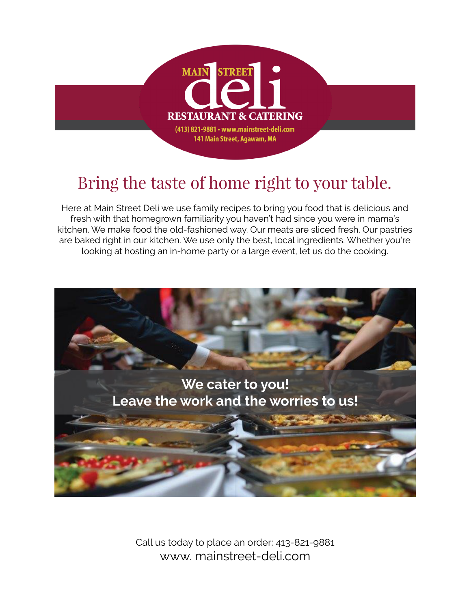

## Bring the taste of home right to your table.

Here at Main Street Deli we use family recipes to bring you food that is delicious and fresh with that homegrown familiarity you haven't had since you were in mama's kitchen. We make food the old-fashioned way. Our meats are sliced fresh. Our pastries are baked right in our kitchen. We use only the best, local ingredients. Whether you're looking at hosting an in-home party or a large event, let us do the cooking.

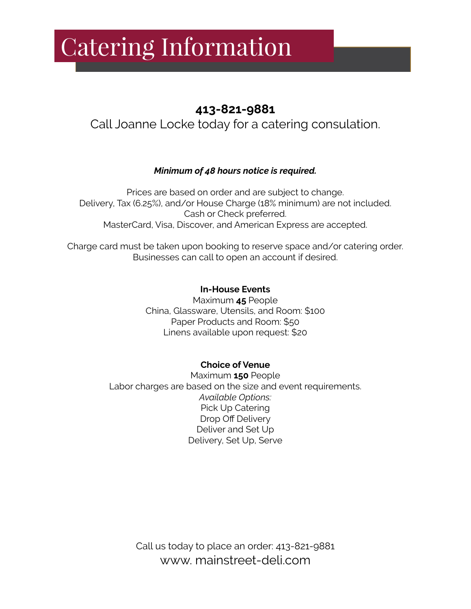## Catering Information

### **413-821-9881**

Call Joanne Locke today for a catering consulation.

### *Minimum of 48 hours notice is required.*

Prices are based on order and are subject to change. Delivery, Tax (6.25%), and/or House Charge (18% minimum) are not included. Cash or Check preferred. MasterCard, Visa, Discover, and American Express are accepted.

Charge card must be taken upon booking to reserve space and/or catering order. Businesses can call to open an account if desired.

### **In-House Events**

Maximum **45** People China, Glassware, Utensils, and Room: \$100 Paper Products and Room: \$50 Linens available upon request: \$20

### **Choice of Venue**

Maximum **150** People Labor charges are based on the size and event requirements. *Available Options:*  Pick Up Catering Drop Off Delivery Deliver and Set Up Delivery, Set Up, Serve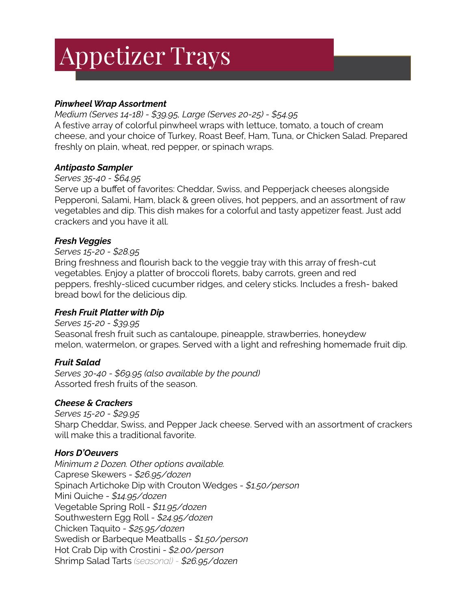## Appetizer Trays

### *Pinwheel Wrap Assortment*

*Medium (Serves 14-18) - \$39.95, Large (Serves 20-25) - \$54.95* A festive array of colorful pinwheel wraps with lettuce, tomato, a touch of cream cheese, and your choice of Turkey, Roast Beef, Ham, Tuna, or Chicken Salad. Prepared freshly on plain, wheat, red pepper, or spinach wraps.

### *Antipasto Sampler*

### *Serves 35-40 - \$64.95*

Serve up a bufet of favorites: Cheddar, Swiss, and Pepperjack cheeses alongside Pepperoni, Salami, Ham, black & green olives, hot peppers, and an assortment of raw vegetables and dip. This dish makes for a colorful and tasty appetizer feast. Just add crackers and you have it all.

### *Fresh Veggies*

### *Serves 15-20 - \$28.95*

Bring freshness and fourish back to the veggie tray with this array of fresh-cut vegetables. Enjoy a platter of broccoli florets, baby carrots, green and red peppers, freshly-sliced cucumber ridges, and celery sticks. Includes a fresh- baked bread bowl for the delicious dip.

### *Fresh Fruit Platter with Dip*

### *Serves 15-20 - \$39.95* Seasonal fresh fruit such as cantaloupe, pineapple, strawberries, honeydew melon, watermelon, or grapes. Served with a light and refreshing homemade fruit dip.

### *Fruit Salad*

*Serves 30-40 - \$69.95 (also available by the pound)* Assorted fresh fruits of the season.

### *Cheese & Crackers*

*Serves 15-20 - \$29.95* Sharp Cheddar, Swiss, and Pepper Jack cheese. Served with an assortment of crackers will make this a traditional favorite.

### *Hors D'Oeuvers*

*Minimum 2 Dozen. Other options available.* Caprese Skewers - *\$26.95/dozen* Spinach Artichoke Dip with Crouton Wedges - *\$1.50/person* Mini Quiche - *\$14.95/dozen* Vegetable Spring Roll - *\$11.95/dozen* Southwestern Egg Roll - *\$24.95/dozen* Chicken Taquito - *\$25.95/dozen* Swedish or Barbeque Meatballs - *\$1.50/person* Hot Crab Dip with Crostini - *\$2.00/person* Shrimp Salad Tarts *(seasonal) - \$26.95/dozen*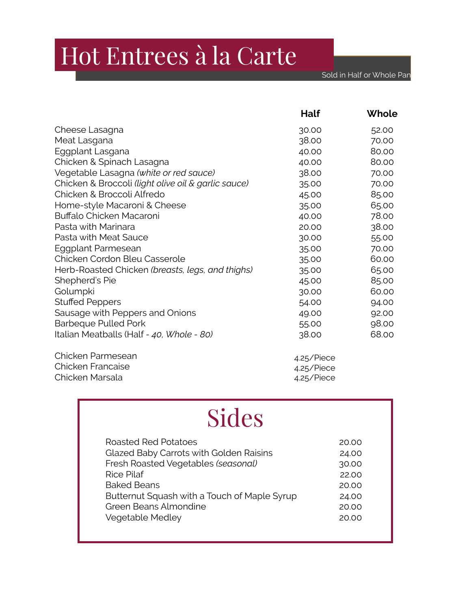## Hot Entrees à la Carte

Sold in Half or Whole Pan

|                                                     | Half  | Whole |
|-----------------------------------------------------|-------|-------|
| Cheese Lasagna                                      | 30.00 | 52.00 |
| Meat Lasgana                                        | 38.00 | 70.00 |
| Eggplant Lasgana                                    | 40.00 | 80.00 |
| Chicken & Spinach Lasagna                           | 40.00 | 80.00 |
| Vegetable Lasagna (white or red sauce)              | 38.00 | 70.00 |
| Chicken & Broccoli (light olive oil & garlic sauce) | 35.00 | 70.00 |
| Chicken & Broccoli Alfredo                          | 45.00 | 85.00 |
| Home-style Macaroni & Cheese                        | 35.00 | 65.00 |
| <b>Buffalo Chicken Macaroni</b>                     | 40.00 | 78.00 |
| Pasta with Marinara                                 | 20.00 | 38.00 |
| Pasta with Meat Sauce                               | 30.00 | 55.00 |
| Eggplant Parmesean                                  | 35.00 | 70.00 |
| Chicken Cordon Bleu Casserole                       | 35.00 | 60.00 |
| Herb-Roasted Chicken (breasts, legs, and thighs)    | 35.00 | 65.00 |
| Shepherd's Pie                                      | 45.00 | 85.00 |
| Golumpki                                            | 30.00 | 60.00 |
| <b>Stuffed Peppers</b>                              | 54.00 | 94.00 |
| Sausage with Peppers and Onions                     | 49.00 | 92.00 |
| <b>Barbeque Pulled Pork</b>                         | 55.00 | 98.00 |
| Italian Meatballs (Half - 40, Whole - 80)           | 38.00 | 68.00 |

| Chicken Parmesean | 4.25/Piece |
|-------------------|------------|
| Chicken Francaise | 4.25/Piece |
| Chicken Marsala   | 4.25/Piece |

# Sides

| <b>Roasted Red Potatoes</b>                  | 20.00 |
|----------------------------------------------|-------|
| Glazed Baby Carrots with Golden Raisins      | 24.00 |
| Fresh Roasted Vegetables (seasonal)          | 30.00 |
| Rice Pilaf                                   | 22.00 |
| <b>Baked Beans</b>                           | 20.00 |
| Butternut Squash with a Touch of Maple Syrup | 24.00 |
| Green Beans Almondine                        | 20.00 |
| <b>Vegetable Medley</b>                      | 20.00 |
|                                              |       |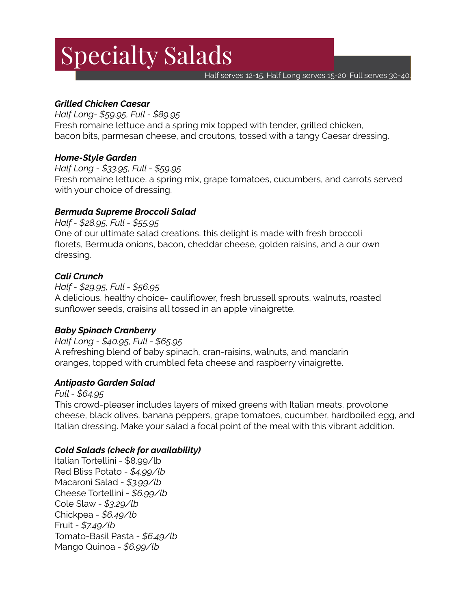## Specialty Salads

Half serves 12-15. Half Long serves 15-20. Full serves 30-40.

### *Grilled Chicken Caesar*

*Half Long- \$59.95, Full - \$89.95* Fresh romaine lettuce and a spring mix topped with tender, grilled chicken, bacon bits, parmesan cheese, and croutons, tossed with a tangy Caesar dressing.

### *Home-Style Garden*

*Half Long - \$33.95, Full - \$59.95* Fresh romaine lettuce, a spring mix, grape tomatoes, cucumbers, and carrots served with your choice of dressing.

### *Bermuda Supreme Broccoli Salad*

*Half - \$28.95, Full - \$55.95* One of our ultimate salad creations, this delight is made with fresh broccoli forets, Bermuda onions, bacon, cheddar cheese, golden raisins, and a our own dressing.

### *Cali Crunch*

*Half - \$29.95, Full - \$56.95* A delicious, healthy choice- caulifower, fresh brussell sprouts, walnuts, roasted sunfower seeds, craisins all tossed in an apple vinaigrette.

### *Baby Spinach Cranberry*

*Half Long - \$40.95, Full - \$65.95* A refreshing blend of baby spinach, cran-raisins, walnuts, and mandarin oranges, topped with crumbled feta cheese and raspberry vinaigrette.

### *Antipasto Garden Salad*

*Full - \$64.95* This crowd-pleaser includes layers of mixed greens with Italian meats, provolone cheese, black olives, banana peppers, grape tomatoes, cucumber, hardboiled egg, and Italian dressing. Make your salad a focal point of the meal with this vibrant addition.

### *Cold Salads (check for availability)*

Italian Tortellini - \$8.99/lb Red Bliss Potato - *\$4.99/lb* Macaroni Salad - *\$3.99/lb* Cheese Tortellini - *\$6.99/lb* Cole Slaw - *\$3.29/lb* Chickpea - *\$6.49/lb* Fruit - *\$7.49/lb* Tomato-Basil Pasta - *\$6.49/lb* Mango Quinoa - *\$6.99/lb*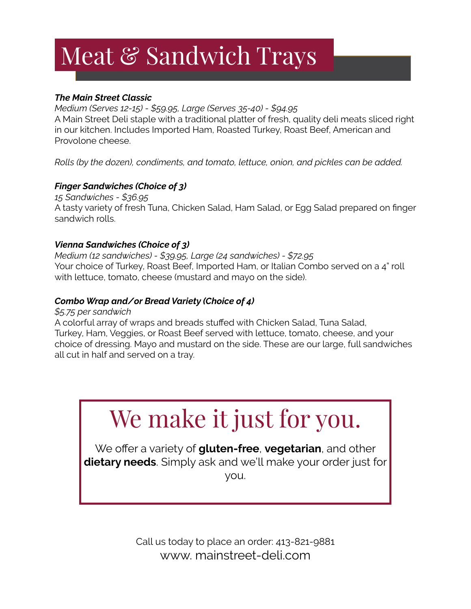## Meat & Sandwich Trays

### *The Main Street Classic*

*Medium (Serves 12-15) - \$59.95, Large (Serves 35-40) - \$94.95* A Main Street Deli staple with a traditional platter of fresh, quality deli meats sliced right in our kitchen. Includes Imported Ham, Roasted Turkey, Roast Beef, American and Provolone cheese.

*Rolls (by the dozen), condiments, and tomato, lettuce, onion, and pickles can be added.* 

### *Finger Sandwiches (Choice of 3)*

*15 Sandwiches - \$36.95* A tasty variety of fresh Tuna, Chicken Salad, Ham Salad, or Egg Salad prepared on fnger sandwich rolls.

### *Vienna Sandwiches (Choice of 3)*

*Medium (12 sandwiches) - \$39.95, Large (24 sandwiches) - \$72.95* Your choice of Turkey, Roast Beef, Imported Ham, or Italian Combo served on a 4" roll with lettuce, tomato, cheese (mustard and mayo on the side).

### *Combo Wrap and/or Bread Variety (Choice of 4)*

*\$5.75 per sandwich*

A colorful array of wraps and breads stufed with Chicken Salad, Tuna Salad, Turkey, Ham, Veggies, or Roast Beef served with lettuce, tomato, cheese, and your choice of dressing. Mayo and mustard on the side. These are our large, full sandwiches all cut in half and served on a tray.

## We make it just for you.

We offer a variety of **gluten-free**, **vegetarian**, and other **dietary needs**. Simply ask and we'll make your order just for you.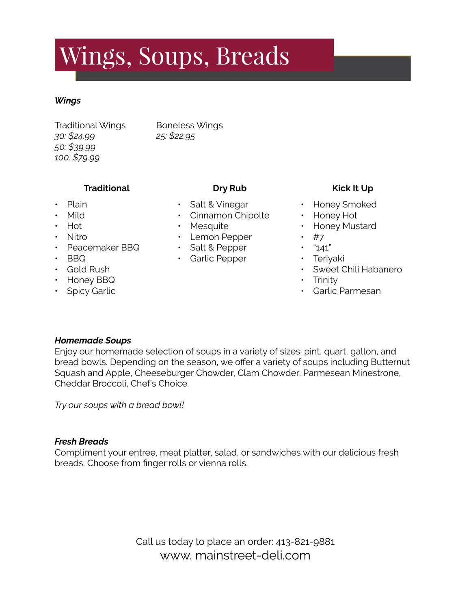# Wings, Soups, Breads

### *Wings*

Traditional Wings *30: \$24.99 50: \$39.99 100: \$79.99*

Boneless Wings *25: \$22.95*

### **Traditional <b>Dry Rub Kick It Up**

- Plain
- Mild
- Hot
- Nitro
- Peacemaker BBQ
- BBQ
- Gold Rush
- Honey BBQ
- Spicy Garlic

- Salt & Vinegar
- Cinnamon Chipolte
- Mesquite
- Lemon Pepper
- Salt & Pepper
- Garlic Pepper

- Honey Smoked
- Honey Hot
- Honey Mustard
- $·$  #7
- $"141"$
- Teriyaki
- Sweet Chili Habanero
- **Trinity**
- Garlic Parmesan

### *Homemade Soups*

Enjoy our homemade selection of soups in a variety of sizes: pint, quart, gallon, and bread bowls. Depending on the season, we offer a variety of soups including Butternut Squash and Apple, Cheeseburger Chowder, Clam Chowder, Parmesean Minestrone, Cheddar Broccoli, Chef's Choice.

*Try our soups with a bread bowl!*

### *Fresh Breads*

Compliment your entree, meat platter, salad, or sandwiches with our delicious fresh breads. Choose from fnger rolls or vienna rolls.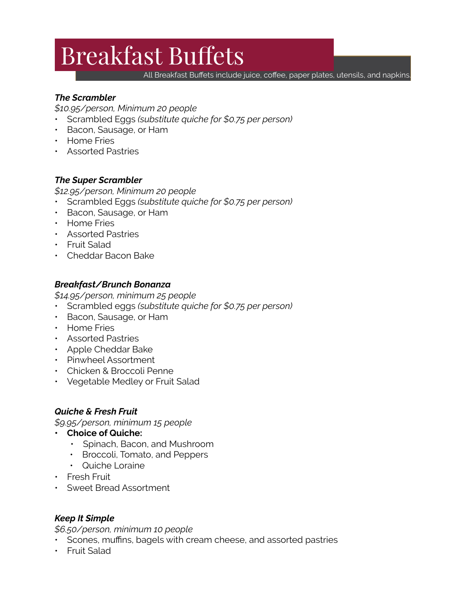## Breakfast Bufets

All Breakfast Buffets include juice, coffee, paper plates, utensils, and napkins.

### *The Scrambler*

*\$10.95/person, Minimum 20 people*

- Scrambled Eggs *(substitute quiche for \$0.75 per person)*
- Bacon, Sausage, or Ham
- Home Fries
- Assorted Pastries

### *The Super Scrambler*

*\$12.95/person, Minimum 20 people*

- Scrambled Eggs *(substitute quiche for \$0.75 per person)*
- Bacon, Sausage, or Ham
- Home Fries
- Assorted Pastries
- Fruit Salad
- Cheddar Bacon Bake

### *Breakfast/Brunch Bonanza*

*\$14.95/person, minimum 25 people*

- Scrambled eggs *(substitute quiche for \$0.75 per person)*
- Bacon, Sausage, or Ham
- Home Fries
- Assorted Pastries
- Apple Cheddar Bake
- Pinwheel Assortment
- Chicken & Broccoli Penne
- Vegetable Medley or Fruit Salad

### *Quiche & Fresh Fruit*

*\$9.95/person, minimum 15 people*

- **• Choice of Quiche:**
	- Spinach, Bacon, and Mushroom
	- Broccoli, Tomato, and Peppers
	- Quiche Loraine
- Fresh Fruit
- Sweet Bread Assortment

### *Keep It Simple*

*\$6.50/person, minimum 10 people*

- Scones, muffins, bagels with cream cheese, and assorted pastries
- Fruit Salad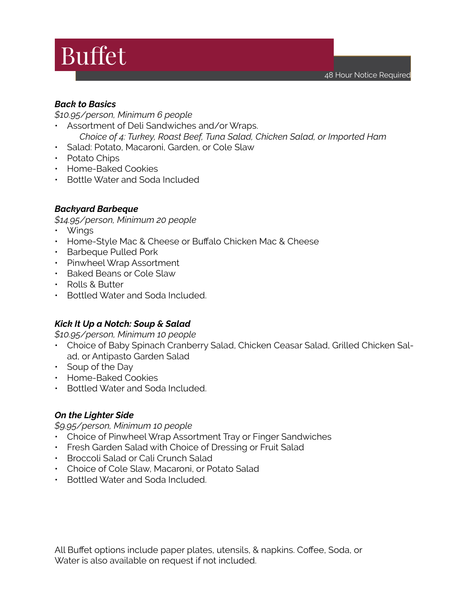## Bufet

### *Back to Basics*

### *\$10.95/person, Minimum 6 people*

- Assortment of Deli Sandwiches and/or Wraps. *Choice of 4: Turkey, Roast Beef, Tuna Salad, Chicken Salad, or Imported Ham*
- Salad: Potato, Macaroni, Garden, or Cole Slaw
- Potato Chips
- Home-Baked Cookies
- Bottle Water and Soda Included

### *Backyard Barbeque*

*\$14.95/person, Minimum 20 people*

- Wings
- Home-Style Mac & Cheese or Bufalo Chicken Mac & Cheese
- Barbeque Pulled Pork
- Pinwheel Wrap Assortment
- Baked Beans or Cole Slaw
- Rolls & Butter
- Bottled Water and Soda Included.

### *Kick It Up a Notch: Soup & Salad*

*\$10.95/person, Minimum 10 people*

- Choice of Baby Spinach Cranberry Salad, Chicken Ceasar Salad, Grilled Chicken Salad, or Antipasto Garden Salad
- Soup of the Day
- Home-Baked Cookies
- Bottled Water and Soda Included.

### *On the Lighter Side*

*\$9.95/person, Minimum 10 people*

- Choice of Pinwheel Wrap Assortment Tray or Finger Sandwiches
- Fresh Garden Salad with Choice of Dressing or Fruit Salad
- Broccoli Salad or Cali Crunch Salad
- Choice of Cole Slaw, Macaroni, or Potato Salad
- Bottled Water and Soda Included.

All Buffet options include paper plates, utensils, & napkins. Coffee, Soda, or Water is also available on request if not included.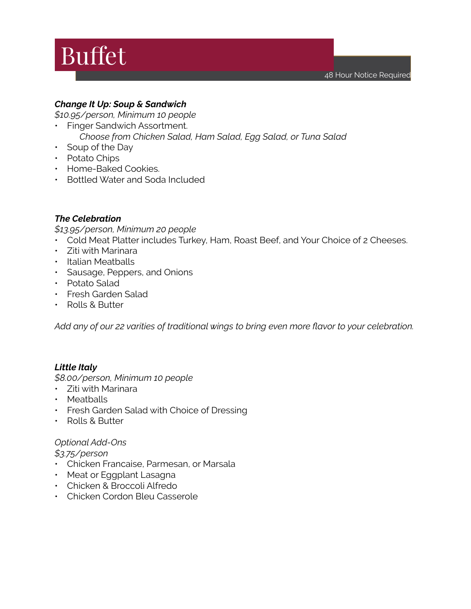## Bufet

### *Change It Up: Soup & Sandwich*

*\$10.95/person, Minimum 10 people*

- Finger Sandwich Assortment. *Choose from Chicken Salad, Ham Salad, Egg Salad, or Tuna Salad*
- Soup of the Day
- Potato Chips
- Home-Baked Cookies.
- Bottled Water and Soda Included

### *The Celebration*

*\$13.95/person, Minimum 20 people*

- Cold Meat Platter includes Turkey, Ham, Roast Beef, and Your Choice of 2 Cheeses.
- Ziti with Marinara
- Italian Meatballs
- Sausage, Peppers, and Onions
- Potato Salad
- Fresh Garden Salad
- Rolls & Butter

*Add any of our 22 varities of traditional wings to bring even more favor to your celebration.* 

### *Little Italy*

*\$8.00/person, Minimum 10 people*

- Ziti with Marinara
- Meatballs
- Fresh Garden Salad with Choice of Dressing
- Rolls & Butter

### *Optional Add-Ons*

*\$3.75/person*

- Chicken Francaise, Parmesan, or Marsala
- Meat or Eggplant Lasagna
- Chicken & Broccoli Alfredo
- Chicken Cordon Bleu Casserole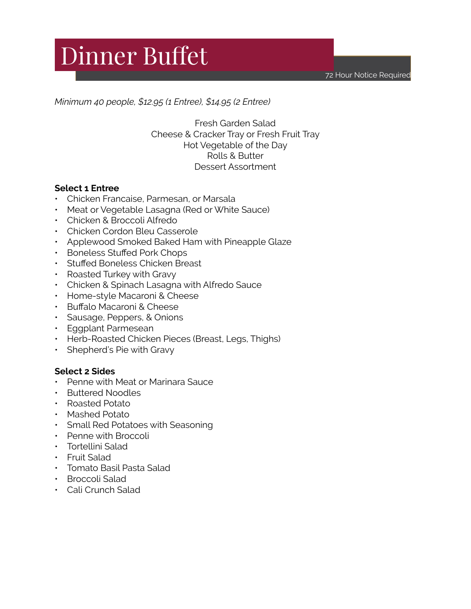Dinner Buffet

72 Hour Notice Required

*Minimum 40 people, \$12.95 (1 Entree), \$14.95 (2 Entree)*

Fresh Garden Salad Cheese & Cracker Tray or Fresh Fruit Tray Hot Vegetable of the Day Rolls & Butter Dessert Assortment

### **Select 1 Entree**

- Chicken Francaise, Parmesan, or Marsala
- Meat or Vegetable Lasagna (Red or White Sauce)
- Chicken & Broccoli Alfredo
- Chicken Cordon Bleu Casserole
- Applewood Smoked Baked Ham with Pineapple Glaze
- Boneless Stufed Pork Chops
- Stufed Boneless Chicken Breast
- Roasted Turkey with Gravy
- Chicken & Spinach Lasagna with Alfredo Sauce
- Home-style Macaroni & Cheese
- Bufalo Macaroni & Cheese
- Sausage, Peppers, & Onions
- Eggplant Parmesean
- Herb-Roasted Chicken Pieces (Breast, Legs, Thighs)
- Shepherd's Pie with Gravy

### **Select 2 Sides**

- Penne with Meat or Marinara Sauce
- Buttered Noodles
- Roasted Potato
- Mashed Potato
- Small Red Potatoes with Seasoning
- Penne with Broccoli
- Tortellini Salad
- Fruit Salad
- Tomato Basil Pasta Salad
- Broccoli Salad
- Cali Crunch Salad